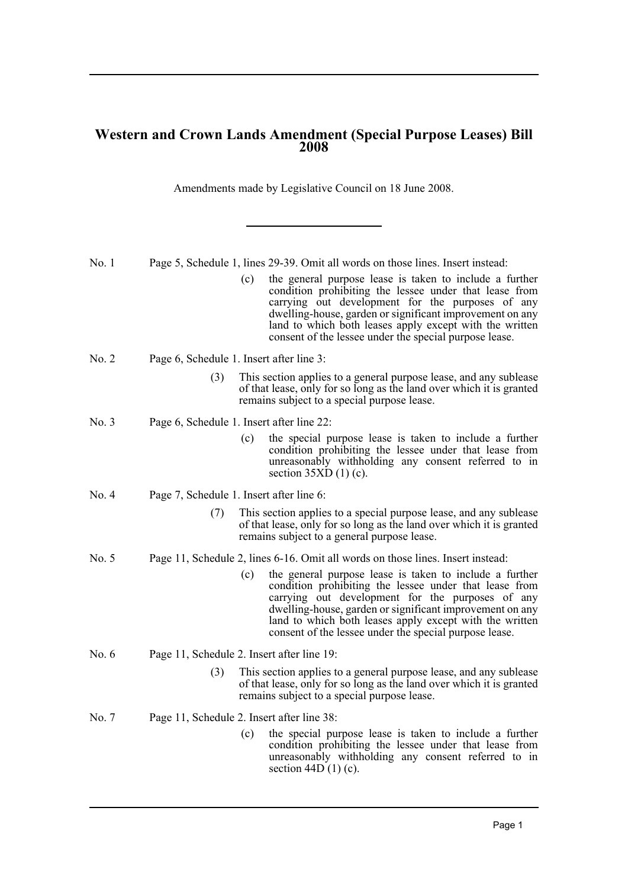## **Western and Crown Lands Amendment (Special Purpose Leases) Bill 2008**

Amendments made by Legislative Council on 18 June 2008.

| No.1    |                                                                                 |     | Page 5, Schedule 1, lines 29-39. Omit all words on those lines. Insert instead:                                                                                                                                                                                                                                                                        |
|---------|---------------------------------------------------------------------------------|-----|--------------------------------------------------------------------------------------------------------------------------------------------------------------------------------------------------------------------------------------------------------------------------------------------------------------------------------------------------------|
|         |                                                                                 | (c) | the general purpose lease is taken to include a further<br>condition prohibiting the lessee under that lease from<br>carrying out development for the purposes of any<br>dwelling-house, garden or significant improvement on any<br>land to which both leases apply except with the written<br>consent of the lessee under the special purpose lease. |
| No. 2   | Page 6, Schedule 1. Insert after line 3:                                        |     |                                                                                                                                                                                                                                                                                                                                                        |
|         | (3)                                                                             |     | This section applies to a general purpose lease, and any sublease<br>of that lease, only for so long as the land over which it is granted<br>remains subject to a special purpose lease.                                                                                                                                                               |
| No. 3   | Page 6, Schedule 1. Insert after line 22:                                       |     |                                                                                                                                                                                                                                                                                                                                                        |
|         |                                                                                 | (c) | the special purpose lease is taken to include a further<br>condition prohibiting the lessee under that lease from<br>unreasonably withholding any consent referred to in<br>section $35XD(1)(c)$ .                                                                                                                                                     |
| No. 4   | Page 7, Schedule 1. Insert after line 6:                                        |     |                                                                                                                                                                                                                                                                                                                                                        |
|         | (7)                                                                             |     | This section applies to a special purpose lease, and any sublease<br>of that lease, only for so long as the land over which it is granted<br>remains subject to a general purpose lease.                                                                                                                                                               |
| No. 5   | Page 11, Schedule 2, lines 6-16. Omit all words on those lines. Insert instead: |     |                                                                                                                                                                                                                                                                                                                                                        |
|         |                                                                                 | (c) | the general purpose lease is taken to include a further<br>condition prohibiting the lessee under that lease from<br>carrying out development for the purposes of any<br>dwelling-house, garden or significant improvement on any<br>land to which both leases apply except with the written<br>consent of the lessee under the special purpose lease. |
| No. $6$ | Page 11, Schedule 2. Insert after line 19:                                      |     |                                                                                                                                                                                                                                                                                                                                                        |
|         | (3)                                                                             |     | This section applies to a general purpose lease, and any sublease<br>of that lease, only for so long as the land over which it is granted<br>remains subject to a special purpose lease.                                                                                                                                                               |
| No. 7   | Page 11, Schedule 2. Insert after line 38:                                      |     |                                                                                                                                                                                                                                                                                                                                                        |
|         |                                                                                 | (c) | the special purpose lease is taken to include a further<br>condition prohibiting the lessee under that lease from<br>unreasonably withholding any consent referred to in<br>section 44D $(1)$ (c).                                                                                                                                                     |